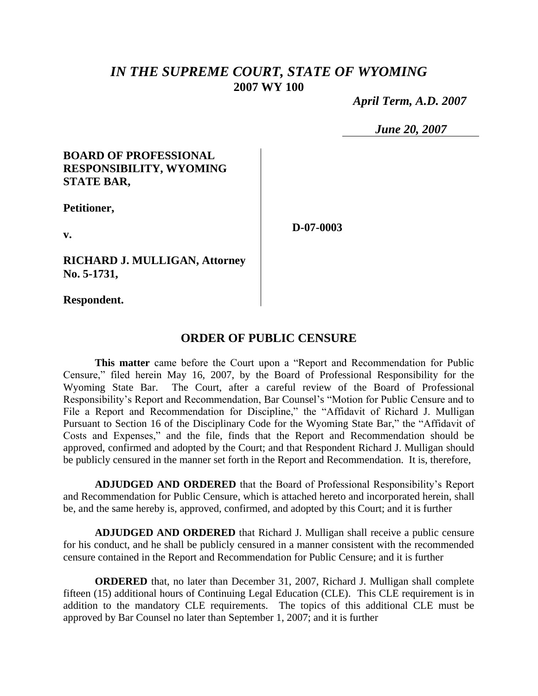# *IN THE SUPREME COURT, STATE OF WYOMING* **2007 WY 100**

 *April Term, A.D. 2007*

*June 20, 2007*

### **BOARD OF PROFESSIONAL RESPONSIBILITY, WYOMING STATE BAR,**

**Petitioner,**

**D-07-0003**

**v.**

**RICHARD J. MULLIGAN, Attorney No. 5-1731,**

**Respondent.**

## **ORDER OF PUBLIC CENSURE**

**This matter** came before the Court upon a "Report and Recommendation for Public Censure," filed herein May 16, 2007, by the Board of Professional Responsibility for the Wyoming State Bar. The Court, after a careful review of the Board of Professional Responsibility's Report and Recommendation, Bar Counsel's "Motion for Public Censure and to File a Report and Recommendation for Discipline," the "Affidavit of Richard J. Mulligan Pursuant to Section 16 of the Disciplinary Code for the Wyoming State Bar," the "Affidavit of Costs and Expenses," and the file, finds that the Report and Recommendation should be approved, confirmed and adopted by the Court; and that Respondent Richard J. Mulligan should be publicly censured in the manner set forth in the Report and Recommendation. It is, therefore,

**ADJUDGED AND ORDERED** that the Board of Professional Responsibility's Report and Recommendation for Public Censure, which is attached hereto and incorporated herein, shall be, and the same hereby is, approved, confirmed, and adopted by this Court; and it is further

**ADJUDGED AND ORDERED** that Richard J. Mulligan shall receive a public censure for his conduct, and he shall be publicly censured in a manner consistent with the recommended censure contained in the Report and Recommendation for Public Censure; and it is further

**ORDERED** that, no later than December 31, 2007, Richard J. Mulligan shall complete fifteen (15) additional hours of Continuing Legal Education (CLE). This CLE requirement is in addition to the mandatory CLE requirements. The topics of this additional CLE must be approved by Bar Counsel no later than September 1, 2007; and it is further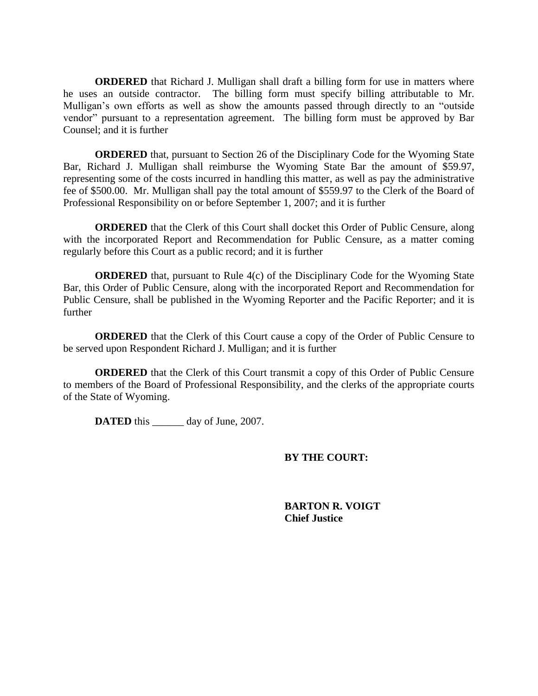**ORDERED** that Richard J. Mulligan shall draft a billing form for use in matters where he uses an outside contractor. The billing form must specify billing attributable to Mr. Mulligan's own efforts as well as show the amounts passed through directly to an "outside vendor" pursuant to a representation agreement. The billing form must be approved by Bar Counsel; and it is further

**ORDERED** that, pursuant to Section 26 of the Disciplinary Code for the Wyoming State Bar, Richard J. Mulligan shall reimburse the Wyoming State Bar the amount of \$59.97, representing some of the costs incurred in handling this matter, as well as pay the administrative fee of \$500.00. Mr. Mulligan shall pay the total amount of \$559.97 to the Clerk of the Board of Professional Responsibility on or before September 1, 2007; and it is further

**ORDERED** that the Clerk of this Court shall docket this Order of Public Censure, along with the incorporated Report and Recommendation for Public Censure, as a matter coming regularly before this Court as a public record; and it is further

**ORDERED** that, pursuant to Rule 4(c) of the Disciplinary Code for the Wyoming State Bar, this Order of Public Censure, along with the incorporated Report and Recommendation for Public Censure, shall be published in the Wyoming Reporter and the Pacific Reporter; and it is further

**ORDERED** that the Clerk of this Court cause a copy of the Order of Public Censure to be served upon Respondent Richard J. Mulligan; and it is further

**ORDERED** that the Clerk of this Court transmit a copy of this Order of Public Censure to members of the Board of Professional Responsibility, and the clerks of the appropriate courts of the State of Wyoming.

**DATED** this day of June, 2007.

### **BY THE COURT:**

**BARTON R. VOIGT Chief Justice**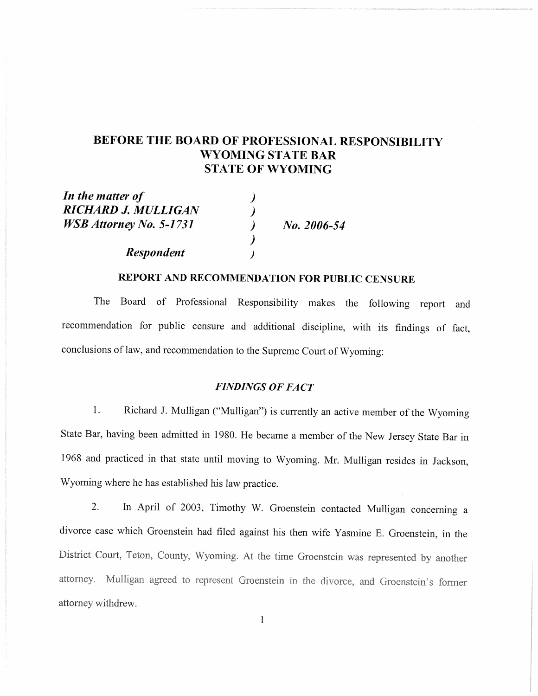# BEFORE THE BOARD OF PROFESSIONAL RESPONSIBILITY **WYOMING STATE BAR STATE OF WYOMING**

In the matter of RICHARD J. MULLIGAN **WSB** Attorney No. 5-1731

**Respondent** 

No. 2006-54

### REPORT AND RECOMMENDATION FOR PUBLIC CENSURE

 $\lambda$ 

The Board of Professional Responsibility makes the following report and recommendation for public censure and additional discipline, with its findings of fact, conclusions of law, and recommendation to the Supreme Court of Wyoming:

### **FINDINGS OF FACT**

1. Richard J. Mulligan ("Mulligan") is currently an active member of the Wyoming State Bar, having been admitted in 1980. He became a member of the New Jersey State Bar in 1968 and practiced in that state until moving to Wyoming. Mr. Mulligan resides in Jackson, Wyoming where he has established his law practice.

In April of 2003, Timothy W. Groenstein contacted Mulligan concerning a  $2.$ divorce case which Groenstein had filed against his then wife Yasmine E. Groenstein, in the District Court, Teton, County, Wyoming. At the time Groenstein was represented by another attorney. Mulligan agreed to represent Groenstein in the divorce, and Groenstein's former attorney withdrew.

 $\mathbf 1$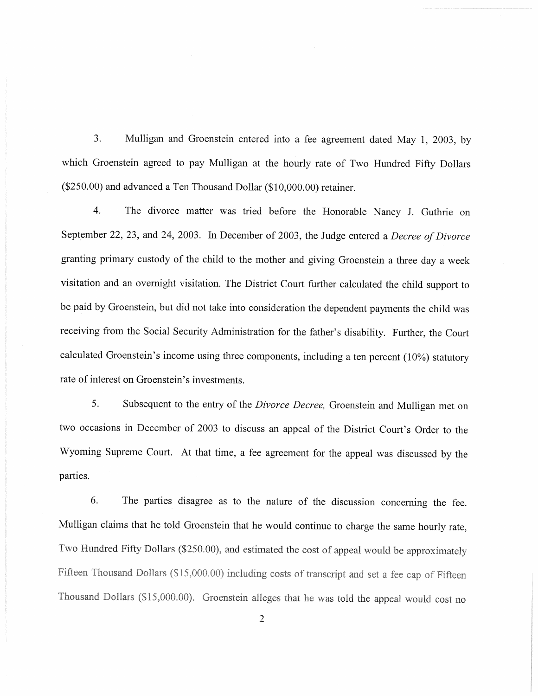$3.$ Mulligan and Groenstein entered into a fee agreement dated May 1, 2003, by which Groenstein agreed to pay Mulligan at the hourly rate of Two Hundred Fifty Dollars (\$250.00) and advanced a Ten Thousand Dollar (\$10,000.00) retainer.

 $\overline{4}$ . The divorce matter was tried before the Honorable Nancy J. Guthrie on September 22, 23, and 24, 2003. In December of 2003, the Judge entered a Decree of Divorce granting primary custody of the child to the mother and giving Groenstein a three day a week visitation and an overnight visitation. The District Court further calculated the child support to be paid by Groenstein, but did not take into consideration the dependent payments the child was receiving from the Social Security Administration for the father's disability. Further, the Court calculated Groenstein's income using three components, including a ten percent  $(10\%)$  statutory rate of interest on Groenstein's investments.

5. Subsequent to the entry of the Divorce Decree, Groenstein and Mulligan met on two occasions in December of 2003 to discuss an appeal of the District Court's Order to the Wyoming Supreme Court. At that time, a fee agreement for the appeal was discussed by the parties.

6. The parties disagree as to the nature of the discussion concerning the fee. Mulligan claims that he told Groenstein that he would continue to charge the same hourly rate, Two Hundred Fifty Dollars (\$250.00), and estimated the cost of appeal would be approximately Fifteen Thousand Dollars (\$15,000.00) including costs of transcript and set a fee cap of Fifteen Thousand Dollars (\$15,000.00). Groenstein alleges that he was told the appeal would cost no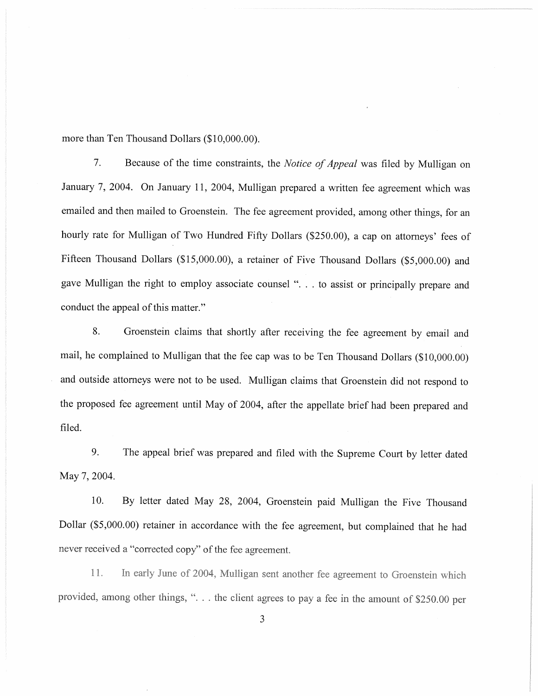more than Ten Thousand Dollars (\$10,000.00).

 $7.$ Because of the time constraints, the Notice of Appeal was filed by Mulligan on January 7, 2004. On January 11, 2004, Mulligan prepared a written fee agreement which was emailed and then mailed to Groenstein. The fee agreement provided, among other things, for an hourly rate for Mulligan of Two Hundred Fifty Dollars (\$250.00), a cap on attorneys' fees of Fifteen Thousand Dollars (\$15,000.00), a retainer of Five Thousand Dollars (\$5,000.00) and gave Mulligan the right to employ associate counsel ". . . to assist or principally prepare and conduct the appeal of this matter."

8. Groenstein claims that shortly after receiving the fee agreement by email and mail, he complained to Mulligan that the fee cap was to be Ten Thousand Dollars (\$10,000.00) and outside attorneys were not to be used. Mulligan claims that Groenstein did not respond to the proposed fee agreement until May of 2004, after the appellate brief had been prepared and filed.

9. The appeal brief was prepared and filed with the Supreme Court by letter dated May 7, 2004.

 $10.$ By letter dated May 28, 2004, Groenstein paid Mulligan the Five Thousand Dollar (\$5,000.00) retainer in accordance with the fee agreement, but complained that he had never received a "corrected copy" of the fee agreement.

In early June of 2004, Mulligan sent another fee agreement to Groenstein which 11. provided, among other things, "... the client agrees to pay a fee in the amount of \$250.00 per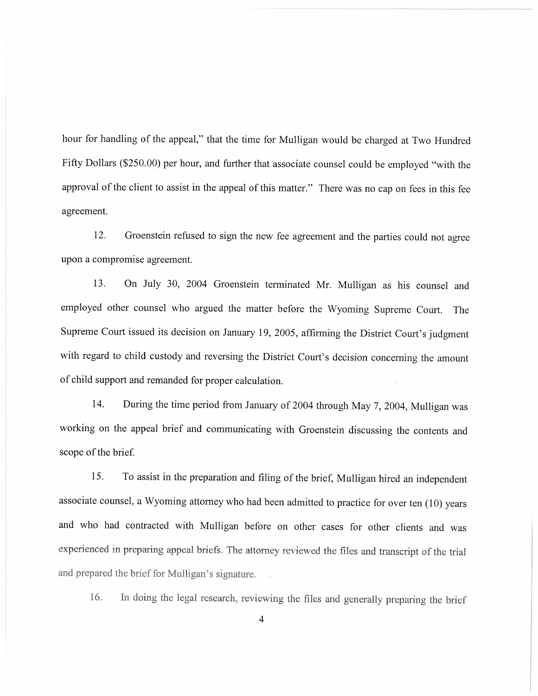hour for handling of the appeal," that the time for Mulligan would be charged at Two Hundred Fifty Dollars (\$250.00) per hour, and further that associate counsel could be employed "with the approval of the client to assist in the appeal of this matter." There was no cap on fees in this fee agreement.

12. Groenstein refused to sign the new fee agreement and the parties could not agree upon a compromise agreement.

On July 30, 2004 Groenstein terminated Mr. Mulligan as his counsel and 13. employed other counsel who argued the matter before the Wyoming Supreme Court. The Supreme Court issued its decision on January 19, 2005, affirming the District Court's judgment with regard to child custody and reversing the District Court's decision concerning the amount of child support and remanded for proper calculation.

14. During the time period from January of 2004 through May 7, 2004, Mulligan was working on the appeal brief and communicating with Groenstein discussing the contents and scope of the brief.

15. To assist in the preparation and filing of the brief, Mulligan hired an independent associate counsel, a Wyoming attorney who had been admitted to practice for over ten (10) years and who had contracted with Mulligan before on other cases for other clients and was experienced in preparing appeal briefs. The attorney reviewed the files and transcript of the trial and prepared the brief for Mulligan's signature.

16. In doing the legal research, reviewing the files and generally preparing the brief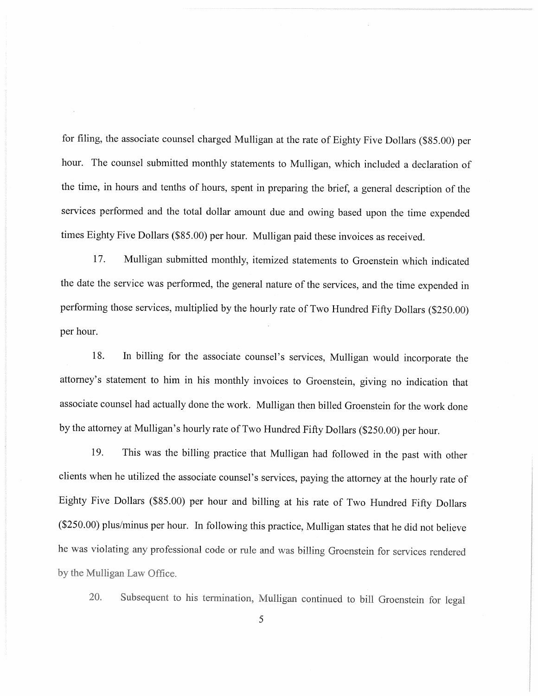for filing, the associate counsel charged Mulligan at the rate of Eighty Five Dollars (\$85.00) per hour. The counsel submitted monthly statements to Mulligan, which included a declaration of the time, in hours and tenths of hours, spent in preparing the brief, a general description of the services performed and the total dollar amount due and owing based upon the time expended times Eighty Five Dollars (\$85.00) per hour. Mulligan paid these invoices as received.

17. Mulligan submitted monthly, itemized statements to Groenstein which indicated the date the service was performed, the general nature of the services, and the time expended in performing those services, multiplied by the hourly rate of Two Hundred Fifty Dollars (\$250.00) per hour.

In billing for the associate counsel's services, Mulligan would incorporate the 18. attorney's statement to him in his monthly invoices to Groenstein, giving no indication that associate counsel had actually done the work. Mulligan then billed Groenstein for the work done by the attorney at Mulligan's hourly rate of Two Hundred Fifty Dollars (\$250.00) per hour.

19. This was the billing practice that Mulligan had followed in the past with other clients when he utilized the associate counsel's services, paying the attorney at the hourly rate of Eighty Five Dollars (\$85.00) per hour and billing at his rate of Two Hundred Fifty Dollars (\$250.00) plus/minus per hour. In following this practice, Mulligan states that he did not believe he was violating any professional code or rule and was billing Groenstein for services rendered by the Mulligan Law Office.

Subsequent to his termination, Mulligan continued to bill Groenstein for legal 20.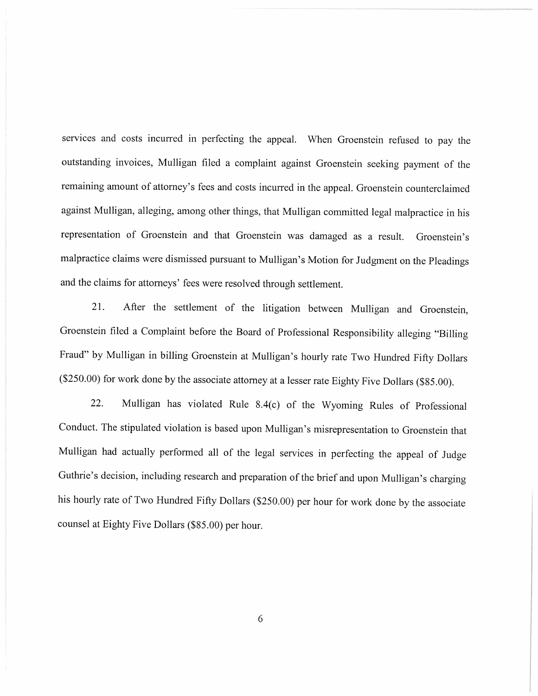services and costs incurred in perfecting the appeal. When Groenstein refused to pay the outstanding invoices, Mulligan filed a complaint against Groenstein seeking payment of the remaining amount of attorney's fees and costs incurred in the appeal. Groenstein counterclaimed against Mulligan, alleging, among other things, that Mulligan committed legal malpractice in his representation of Groenstein and that Groenstein was damaged as a result. Groenstein's malpractice claims were dismissed pursuant to Mulligan's Motion for Judgment on the Pleadings and the claims for attorneys' fees were resolved through settlement.

21. After the settlement of the litigation between Mulligan and Groenstein, Groenstein filed a Complaint before the Board of Professional Responsibility alleging "Billing Fraud" by Mulligan in billing Groenstein at Mulligan's hourly rate Two Hundred Fifty Dollars (\$250.00) for work done by the associate attorney at a lesser rate Eighty Five Dollars (\$85.00).

22. Mulligan has violated Rule 8.4(c) of the Wyoming Rules of Professional Conduct. The stipulated violation is based upon Mulligan's misrepresentation to Groenstein that Mulligan had actually performed all of the legal services in perfecting the appeal of Judge Guthrie's decision, including research and preparation of the brief and upon Mulligan's charging his hourly rate of Two Hundred Fifty Dollars (\$250.00) per hour for work done by the associate counsel at Eighty Five Dollars (\$85.00) per hour.

6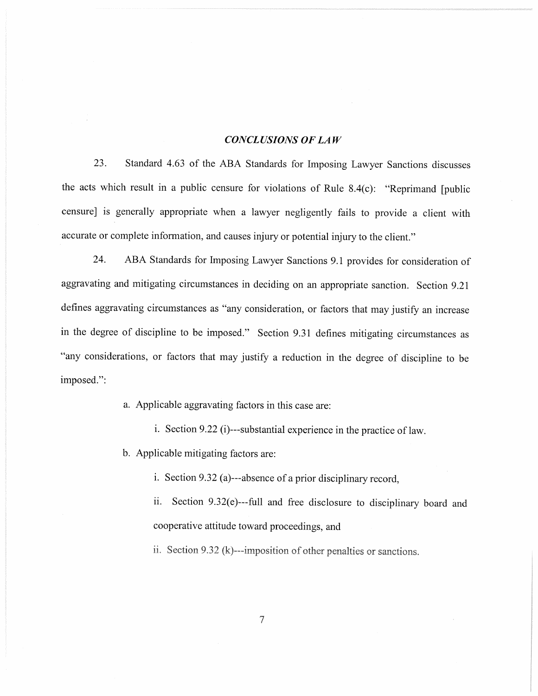#### **CONCLUSIONS OF LAW**

Standard 4.63 of the ABA Standards for Imposing Lawyer Sanctions discusses 23. the acts which result in a public censure for violations of Rule 8.4(c): "Reprimand [public censure] is generally appropriate when a lawyer negligently fails to provide a client with accurate or complete information, and causes injury or potential injury to the client."

24. ABA Standards for Imposing Lawyer Sanctions 9.1 provides for consideration of aggravating and mitigating circumstances in deciding on an appropriate sanction. Section 9.21 defines aggravating circumstances as "any consideration, or factors that may justify an increase in the degree of discipline to be imposed." Section 9.31 defines mitigating circumstances as "any considerations, or factors that may justify a reduction in the degree of discipline to be imposed.":

a. Applicable aggravating factors in this case are:

i. Section 9.22 (i)---substantial experience in the practice of law.

b. Applicable mitigating factors are:

i. Section 9.32 (a)---absence of a prior disciplinary record,

ii. Section 9.32(e)---full and free disclosure to disciplinary board and cooperative attitude toward proceedings, and

ii. Section 9.32 (k)---imposition of other penalties or sanctions.

 $\overline{7}$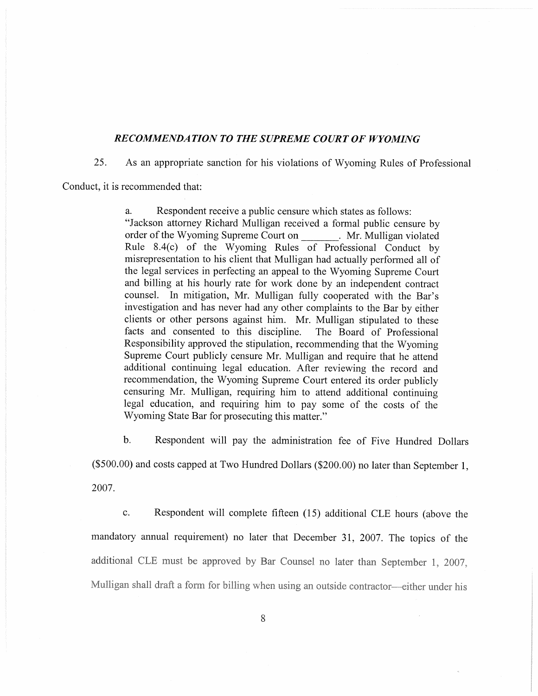#### **RECOMMENDATION TO THE SUPREME COURT OF WYOMING**

25. As an appropriate sanction for his violations of Wyoming Rules of Professional

Conduct, it is recommended that:

Respondent receive a public censure which states as follows: a. "Jackson attorney Richard Mulligan received a formal public censure by order of the Wyoming Supreme Court on \_\_\_\_\_\_\_. Mr. Mulligan violated Rule 8.4(c) of the Wyoming Rules of Professional Conduct by misrepresentation to his client that Mulligan had actually performed all of the legal services in perfecting an appeal to the Wyoming Supreme Court and billing at his hourly rate for work done by an independent contract counsel. In mitigation, Mr. Mulligan fully cooperated with the Bar's investigation and has never had any other complaints to the Bar by either clients or other persons against him. Mr. Mulligan stipulated to these The Board of Professional facts and consented to this discipline. Responsibility approved the stipulation, recommending that the Wyoming Supreme Court publicly censure Mr. Mulligan and require that he attend additional continuing legal education. After reviewing the record and recommendation, the Wyoming Supreme Court entered its order publicly censuring Mr. Mulligan, requiring him to attend additional continuing legal education, and requiring him to pay some of the costs of the Wyoming State Bar for prosecuting this matter."

 $b.$ Respondent will pay the administration fee of Five Hundred Dollars

(\$500.00) and costs capped at Two Hundred Dollars (\$200.00) no later than September 1,

2007.

Respondent will complete fifteen (15) additional CLE hours (above the  $\mathbf{c}$ . mandatory annual requirement) no later that December 31, 2007. The topics of the additional CLE must be approved by Bar Counsel no later than September 1, 2007, Mulligan shall draft a form for billing when using an outside contractor-either under his